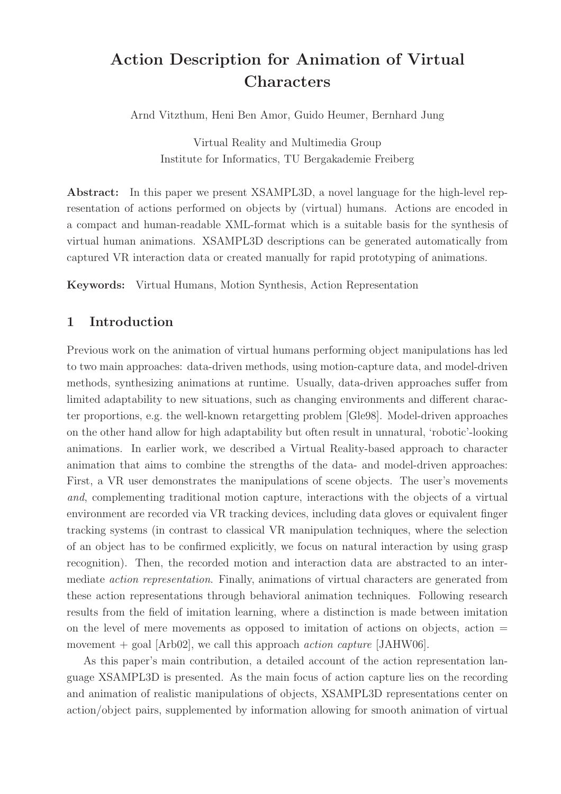# Action Description for Animation of Virtual **Characters**

Arnd Vitzthum, Heni Ben Amor, Guido Heumer, Bernhard Jung

Virtual Reality and Multimedia Group Institute for Informatics, TU Bergakademie Freiberg

Abstract: In this paper we present XSAMPL3D, a novel language for the high-level representation of actions performed on objects by (virtual) humans. Actions are encoded in a compact and human-readable XML-format which is a suitable basis for the synthesis of virtual human animations. XSAMPL3D descriptions can be generated automatically from captured VR interaction data or created manually for rapid prototyping of animations.

Keywords: Virtual Humans, Motion Synthesis, Action Representation

## 1 Introduction

Previous work on the animation of virtual humans performing object manipulations has led to two main approaches: data-driven methods, using motion-capture data, and model-driven methods, synthesizing animations at runtime. Usually, data-driven approaches suffer from limited adaptability to new situations, such as changing environments and different character proportions, e.g. the well-known retargetting problem [Gle98]. Model-driven approaches on the other hand allow for high adaptability but often result in unnatural, 'robotic'-looking animations. In earlier work, we described a Virtual Reality-based approach to character animation that aims to combine the strengths of the data- and model-driven approaches: First, a VR user demonstrates the manipulations of scene objects. The user's movements and, complementing traditional motion capture, interactions with the objects of a virtual environment are recorded via VR tracking devices, including data gloves or equivalent finger tracking systems (in contrast to classical VR manipulation techniques, where the selection of an object has to be confirmed explicitly, we focus on natural interaction by using grasp recognition). Then, the recorded motion and interaction data are abstracted to an intermediate action representation. Finally, animations of virtual characters are generated from these action representations through behavioral animation techniques. Following research results from the field of imitation learning, where a distinction is made between imitation on the level of mere movements as opposed to imitation of actions on objects, action  $=$ movement  $+$  goal [Arb02], we call this approach *action capture* [JAHW06].

As this paper's main contribution, a detailed account of the action representation language XSAMPL3D is presented. As the main focus of action capture lies on the recording and animation of realistic manipulations of objects, XSAMPL3D representations center on action/object pairs, supplemented by information allowing for smooth animation of virtual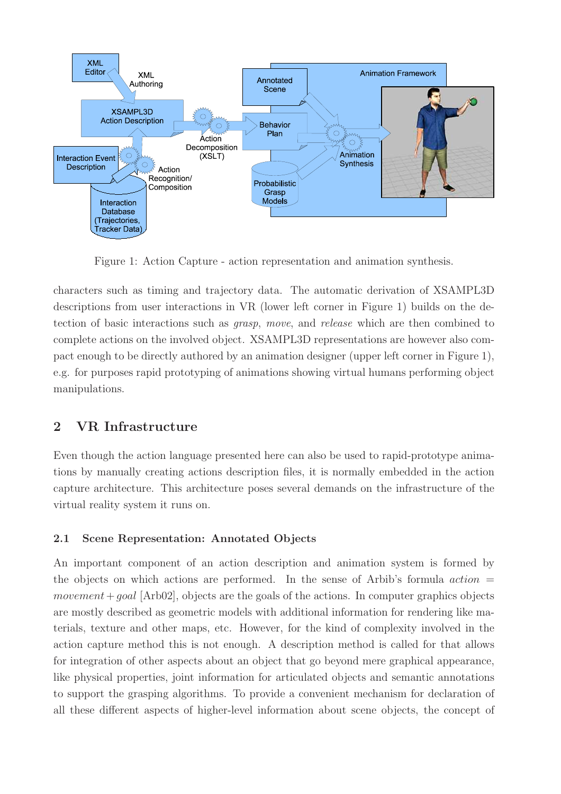

Figure 1: Action Capture - action representation and animation synthesis.

characters such as timing and trajectory data. The automatic derivation of XSAMPL3D descriptions from user interactions in VR (lower left corner in Figure 1) builds on the detection of basic interactions such as grasp, move, and release which are then combined to complete actions on the involved object. XSAMPL3D representations are however also compact enough to be directly authored by an animation designer (upper left corner in Figure 1), e.g. for purposes rapid prototyping of animations showing virtual humans performing object manipulations.

## 2 VR Infrastructure

Even though the action language presented here can also be used to rapid-prototype animations by manually creating actions description files, it is normally embedded in the action capture architecture. This architecture poses several demands on the infrastructure of the virtual reality system it runs on.

## 2.1 Scene Representation: Annotated Objects

An important component of an action description and animation system is formed by the objects on which actions are performed. In the sense of Arbib's formula  $action =$ movement  $+q$  oal [Arb02], objects are the goals of the actions. In computer graphics objects are mostly described as geometric models with additional information for rendering like materials, texture and other maps, etc. However, for the kind of complexity involved in the action capture method this is not enough. A description method is called for that allows for integration of other aspects about an object that go beyond mere graphical appearance, like physical properties, joint information for articulated objects and semantic annotations to support the grasping algorithms. To provide a convenient mechanism for declaration of all these different aspects of higher-level information about scene objects, the concept of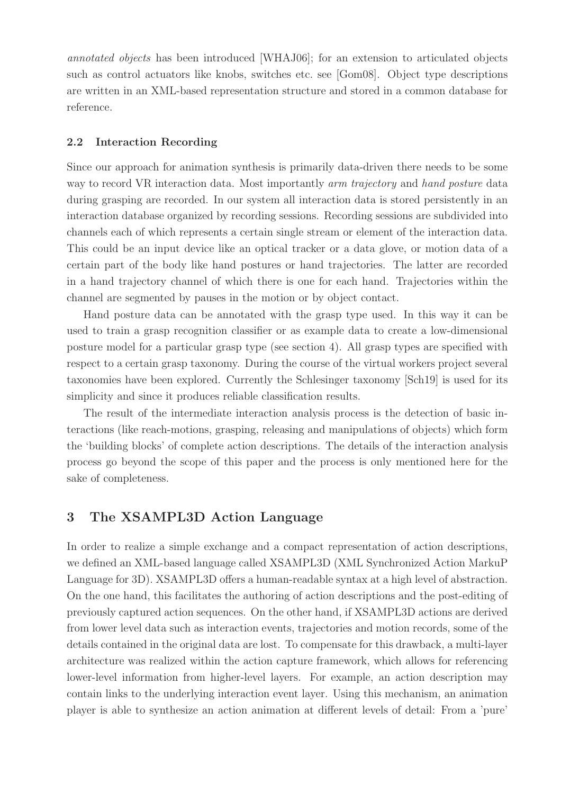annotated objects has been introduced [WHAJ06]; for an extension to articulated objects such as control actuators like knobs, switches etc. see [Gom08]. Object type descriptions are written in an XML-based representation structure and stored in a common database for reference.

#### 2.2 Interaction Recording

Since our approach for animation synthesis is primarily data-driven there needs to be some way to record VR interaction data. Most importantly *arm trajectory* and *hand posture* data during grasping are recorded. In our system all interaction data is stored persistently in an interaction database organized by recording sessions. Recording sessions are subdivided into channels each of which represents a certain single stream or element of the interaction data. This could be an input device like an optical tracker or a data glove, or motion data of a certain part of the body like hand postures or hand trajectories. The latter are recorded in a hand trajectory channel of which there is one for each hand. Trajectories within the channel are segmented by pauses in the motion or by object contact.

Hand posture data can be annotated with the grasp type used. In this way it can be used to train a grasp recognition classifier or as example data to create a low-dimensional posture model for a particular grasp type (see section 4). All grasp types are specified with respect to a certain grasp taxonomy. During the course of the virtual workers project several taxonomies have been explored. Currently the Schlesinger taxonomy [Sch19] is used for its simplicity and since it produces reliable classification results.

The result of the intermediate interaction analysis process is the detection of basic interactions (like reach-motions, grasping, releasing and manipulations of objects) which form the 'building blocks' of complete action descriptions. The details of the interaction analysis process go beyond the scope of this paper and the process is only mentioned here for the sake of completeness.

## 3 The XSAMPL3D Action Language

In order to realize a simple exchange and a compact representation of action descriptions, we defined an XML-based language called XSAMPL3D (XML Synchronized Action MarkuP Language for 3D). XSAMPL3D offers a human-readable syntax at a high level of abstraction. On the one hand, this facilitates the authoring of action descriptions and the post-editing of previously captured action sequences. On the other hand, if XSAMPL3D actions are derived from lower level data such as interaction events, trajectories and motion records, some of the details contained in the original data are lost. To compensate for this drawback, a multi-layer architecture was realized within the action capture framework, which allows for referencing lower-level information from higher-level layers. For example, an action description may contain links to the underlying interaction event layer. Using this mechanism, an animation player is able to synthesize an action animation at different levels of detail: From a 'pure'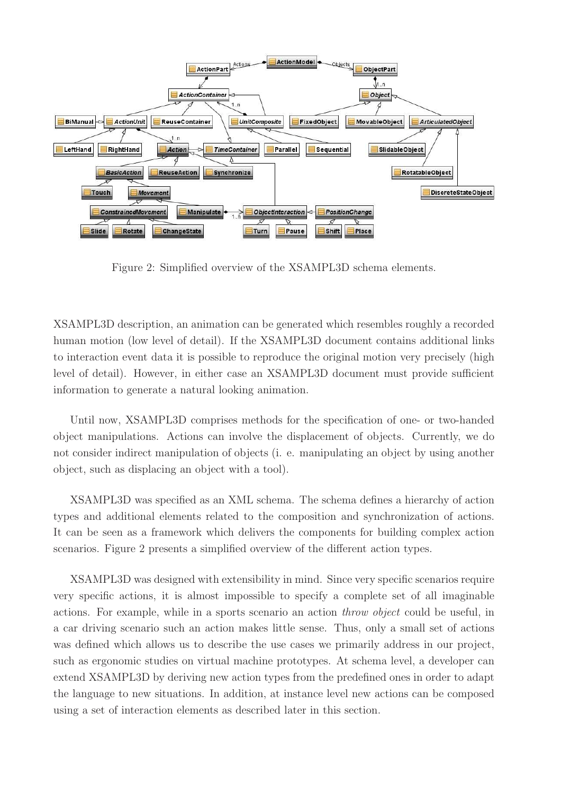

Figure 2: Simplified overview of the XSAMPL3D schema elements.

XSAMPL3D description, an animation can be generated which resembles roughly a recorded human motion (low level of detail). If the XSAMPL3D document contains additional links to interaction event data it is possible to reproduce the original motion very precisely (high level of detail). However, in either case an XSAMPL3D document must provide sufficient information to generate a natural looking animation.

Until now, XSAMPL3D comprises methods for the specification of one- or two-handed object manipulations. Actions can involve the displacement of objects. Currently, we do not consider indirect manipulation of objects (i. e. manipulating an object by using another object, such as displacing an object with a tool).

XSAMPL3D was specified as an XML schema. The schema defines a hierarchy of action types and additional elements related to the composition and synchronization of actions. It can be seen as a framework which delivers the components for building complex action scenarios. Figure 2 presents a simplified overview of the different action types.

XSAMPL3D was designed with extensibility in mind. Since very specific scenarios require very specific actions, it is almost impossible to specify a complete set of all imaginable actions. For example, while in a sports scenario an action throw object could be useful, in a car driving scenario such an action makes little sense. Thus, only a small set of actions was defined which allows us to describe the use cases we primarily address in our project, such as ergonomic studies on virtual machine prototypes. At schema level, a developer can extend XSAMPL3D by deriving new action types from the predefined ones in order to adapt the language to new situations. In addition, at instance level new actions can be composed using a set of interaction elements as described later in this section.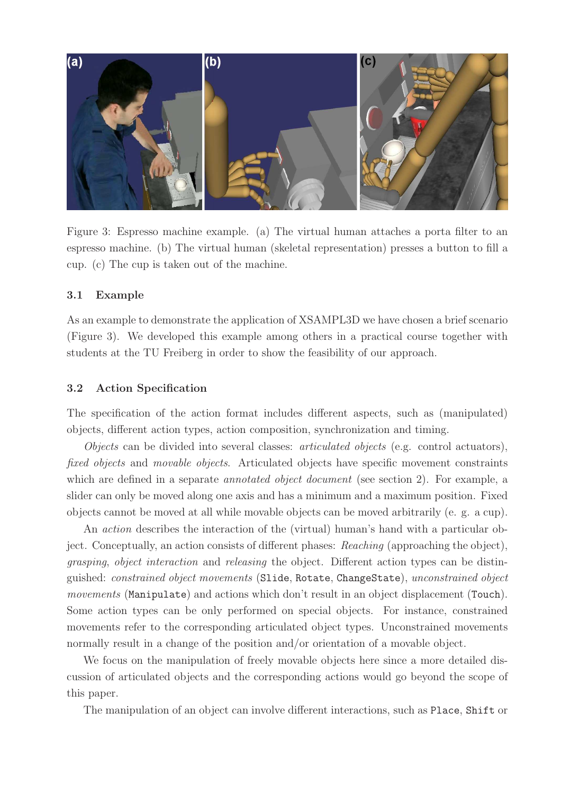

Figure 3: Espresso machine example. (a) The virtual human attaches a porta filter to an espresso machine. (b) The virtual human (skeletal representation) presses a button to fill a cup. (c) The cup is taken out of the machine.

#### 3.1 Example

As an example to demonstrate the application of XSAMPL3D we have chosen a brief scenario (Figure 3). We developed this example among others in a practical course together with students at the TU Freiberg in order to show the feasibility of our approach.

#### 3.2 Action Specification

The specification of the action format includes different aspects, such as (manipulated) objects, different action types, action composition, synchronization and timing.

Objects can be divided into several classes: articulated objects (e.g. control actuators), fixed objects and movable objects. Articulated objects have specific movement constraints which are defined in a separate *annotated object document* (see section 2). For example, a slider can only be moved along one axis and has a minimum and a maximum position. Fixed objects cannot be moved at all while movable objects can be moved arbitrarily (e. g. a cup).

An action describes the interaction of the (virtual) human's hand with a particular object. Conceptually, an action consists of different phases: Reaching (approaching the object), grasping, object interaction and releasing the object. Different action types can be distinguished: constrained object movements (Slide, Rotate, ChangeState), unconstrained object movements (Manipulate) and actions which don't result in an object displacement (Touch). Some action types can be only performed on special objects. For instance, constrained movements refer to the corresponding articulated object types. Unconstrained movements normally result in a change of the position and/or orientation of a movable object.

We focus on the manipulation of freely movable objects here since a more detailed discussion of articulated objects and the corresponding actions would go beyond the scope of this paper.

The manipulation of an object can involve different interactions, such as Place, Shift or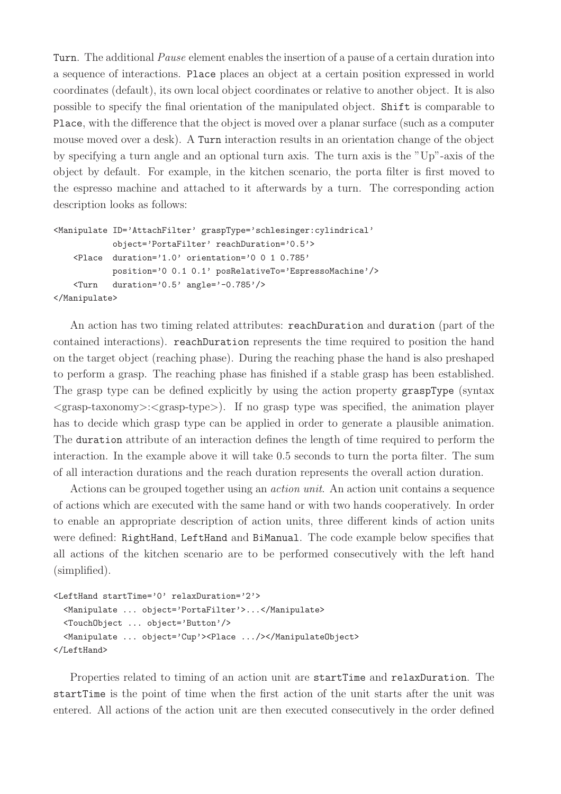Turn. The additional Pause element enables the insertion of a pause of a certain duration into a sequence of interactions. Place places an object at a certain position expressed in world coordinates (default), its own local object coordinates or relative to another object. It is also possible to specify the final orientation of the manipulated object. Shift is comparable to Place, with the difference that the object is moved over a planar surface (such as a computer mouse moved over a desk). A Turn interaction results in an orientation change of the object by specifying a turn angle and an optional turn axis. The turn axis is the "Up"-axis of the object by default. For example, in the kitchen scenario, the porta filter is first moved to the espresso machine and attached to it afterwards by a turn. The corresponding action description looks as follows:

```
<Manipulate ID='AttachFilter' graspType='schlesinger:cylindrical'
             object='PortaFilter' reachDuration='0.5'>
    <Place duration='1.0' orientation='0 0 1 0.785'
             position='0 0.1 0.1' posRelativeTo='EspressoMachine'/>
    \text{Turn} \quad \text{duration} = '0.5' \quad \text{angle} = ' -0.785'</Manipulate>
```
An action has two timing related attributes: reachDuration and duration (part of the contained interactions). reachDuration represents the time required to position the hand on the target object (reaching phase). During the reaching phase the hand is also preshaped to perform a grasp. The reaching phase has finished if a stable grasp has been established. The grasp type can be defined explicitly by using the action property graspType (syntax <grasp-taxonomy>:<grasp-type>). If no grasp type was specified, the animation player has to decide which grasp type can be applied in order to generate a plausible animation. The duration attribute of an interaction defines the length of time required to perform the interaction. In the example above it will take 0.5 seconds to turn the porta filter. The sum of all interaction durations and the reach duration represents the overall action duration.

Actions can be grouped together using an action unit. An action unit contains a sequence of actions which are executed with the same hand or with two hands cooperatively. In order to enable an appropriate description of action units, three different kinds of action units were defined: RightHand, LeftHand and BiManual. The code example below specifies that all actions of the kitchen scenario are to be performed consecutively with the left hand (simplified).

```
<LeftHand startTime='0' relaxDuration='2'>
  <Manipulate ... object='PortaFilter'>...</Manipulate>
  <TouchObject ... object='Button'/>
  <Manipulate ... object='Cup'><Place .../></ManipulateObject>
</LeftHand>
```
Properties related to timing of an action unit are startTime and relaxDuration. The startTime is the point of time when the first action of the unit starts after the unit was entered. All actions of the action unit are then executed consecutively in the order defined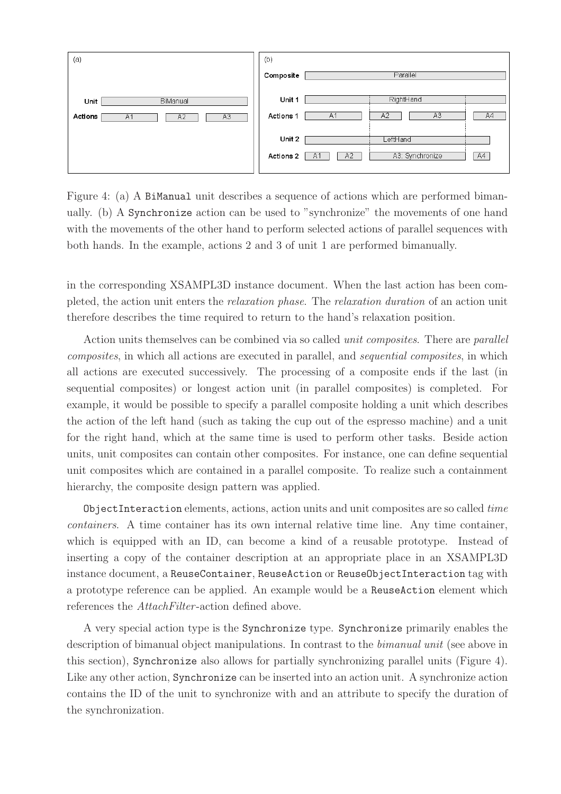

Figure 4: (a) A BiManual unit describes a sequence of actions which are performed bimanually. (b) A Synchronize action can be used to "synchronize" the movements of one hand with the movements of the other hand to perform selected actions of parallel sequences with both hands. In the example, actions 2 and 3 of unit 1 are performed bimanually.

in the corresponding XSAMPL3D instance document. When the last action has been completed, the action unit enters the relaxation phase. The relaxation duration of an action unit therefore describes the time required to return to the hand's relaxation position.

Action units themselves can be combined via so called unit composites. There are parallel composites, in which all actions are executed in parallel, and sequential composites, in which all actions are executed successively. The processing of a composite ends if the last (in sequential composites) or longest action unit (in parallel composites) is completed. For example, it would be possible to specify a parallel composite holding a unit which describes the action of the left hand (such as taking the cup out of the espresso machine) and a unit for the right hand, which at the same time is used to perform other tasks. Beside action units, unit composites can contain other composites. For instance, one can define sequential unit composites which are contained in a parallel composite. To realize such a containment hierarchy, the composite design pattern was applied.

ObjectInteraction elements, actions, action units and unit composites are so called time containers. A time container has its own internal relative time line. Any time container, which is equipped with an ID, can become a kind of a reusable prototype. Instead of inserting a copy of the container description at an appropriate place in an XSAMPL3D instance document, a ReuseContainer, ReuseAction or ReuseObjectInteraction tag with a prototype reference can be applied. An example would be a ReuseAction element which references the  $AttackFilter$ -action defined above.

A very special action type is the Synchronize type. Synchronize primarily enables the description of bimanual object manipulations. In contrast to the bimanual unit (see above in this section), Synchronize also allows for partially synchronizing parallel units (Figure 4). Like any other action, Synchronize can be inserted into an action unit. A synchronize action contains the ID of the unit to synchronize with and an attribute to specify the duration of the synchronization.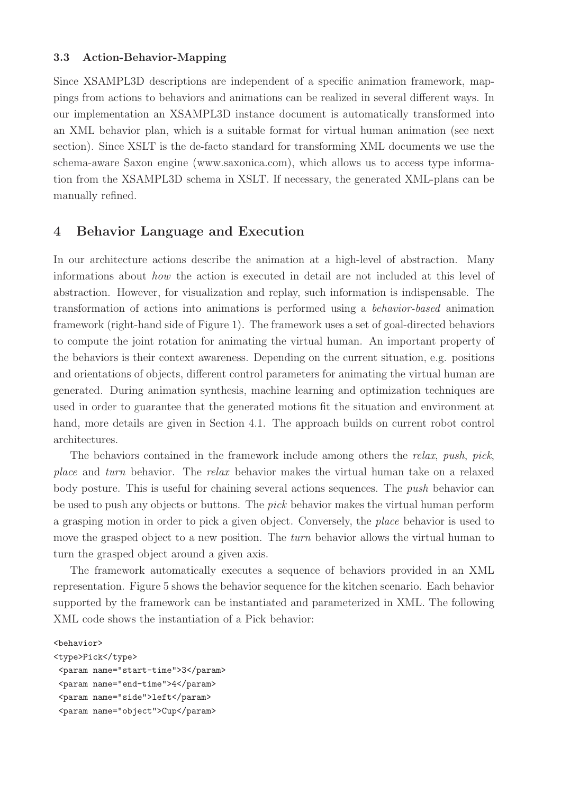#### 3.3 Action-Behavior-Mapping

Since XSAMPL3D descriptions are independent of a specific animation framework, mappings from actions to behaviors and animations can be realized in several different ways. In our implementation an XSAMPL3D instance document is automatically transformed into an XML behavior plan, which is a suitable format for virtual human animation (see next section). Since XSLT is the de-facto standard for transforming XML documents we use the schema-aware Saxon engine (www.saxonica.com), which allows us to access type information from the XSAMPL3D schema in XSLT. If necessary, the generated XML-plans can be manually refined.

## 4 Behavior Language and Execution

In our architecture actions describe the animation at a high-level of abstraction. Many informations about how the action is executed in detail are not included at this level of abstraction. However, for visualization and replay, such information is indispensable. The transformation of actions into animations is performed using a behavior-based animation framework (right-hand side of Figure 1). The framework uses a set of goal-directed behaviors to compute the joint rotation for animating the virtual human. An important property of the behaviors is their context awareness. Depending on the current situation, e.g. positions and orientations of objects, different control parameters for animating the virtual human are generated. During animation synthesis, machine learning and optimization techniques are used in order to guarantee that the generated motions fit the situation and environment at hand, more details are given in Section 4.1. The approach builds on current robot control architectures.

The behaviors contained in the framework include among others the *relax*, *push, pick,* place and turn behavior. The relax behavior makes the virtual human take on a relaxed body posture. This is useful for chaining several actions sequences. The push behavior can be used to push any objects or buttons. The pick behavior makes the virtual human perform a grasping motion in order to pick a given object. Conversely, the place behavior is used to move the grasped object to a new position. The *turn* behavior allows the virtual human to turn the grasped object around a given axis.

The framework automatically executes a sequence of behaviors provided in an XML representation. Figure 5 shows the behavior sequence for the kitchen scenario. Each behavior supported by the framework can be instantiated and parameterized in XML. The following XML code shows the instantiation of a Pick behavior:

```
<behavior>
<type>Pick</type>
 <param name="start-time">3</param>
 <param name="end-time">4</param>
 <param name="side">left</param>
 <param name="object">Cup</param>
```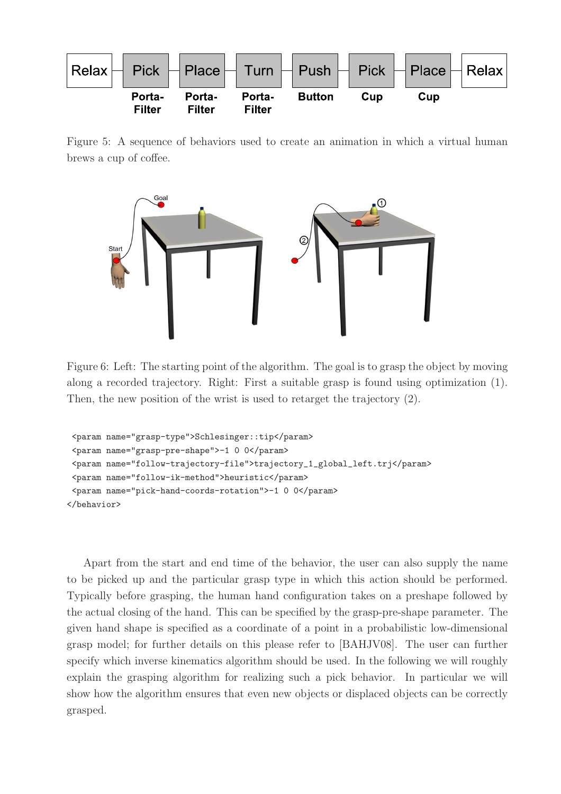

Figure 5: A sequence of behaviors used to create an animation in which a virtual human brews a cup of coffee.



Figure 6: Left: The starting point of the algorithm. The goal is to grasp the object by moving along a recorded trajectory. Right: First a suitable grasp is found using optimization (1). Then, the new position of the wrist is used to retarget the trajectory (2).

```
<param name="grasp-type">Schlesinger::tip</param>
<param name="grasp-pre-shape">-1 0 0</param>
<param name="follow-trajectory-file">trajectory_1_global_left.trj</param>
<param name="follow-ik-method">heuristic</param>
<param name="pick-hand-coords-rotation">-1 0 0</param>
</behavior>
```
Apart from the start and end time of the behavior, the user can also supply the name to be picked up and the particular grasp type in which this action should be performed. Typically before grasping, the human hand configuration takes on a preshape followed by the actual closing of the hand. This can be specified by the grasp-pre-shape parameter. The given hand shape is specified as a coordinate of a point in a probabilistic low-dimensional grasp model; for further details on this please refer to [BAHJV08]. The user can further specify which inverse kinematics algorithm should be used. In the following we will roughly explain the grasping algorithm for realizing such a pick behavior. In particular we will show how the algorithm ensures that even new objects or displaced objects can be correctly grasped.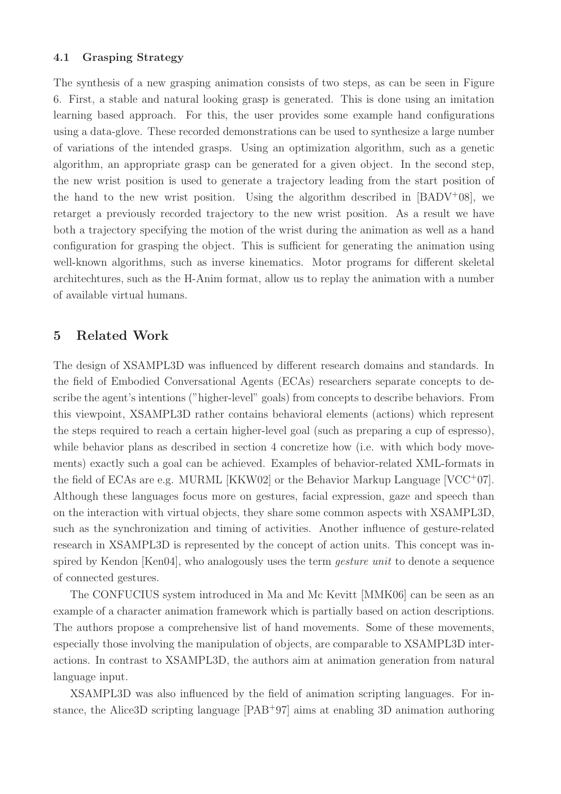#### 4.1 Grasping Strategy

The synthesis of a new grasping animation consists of two steps, as can be seen in Figure 6. First, a stable and natural looking grasp is generated. This is done using an imitation learning based approach. For this, the user provides some example hand configurations using a data-glove. These recorded demonstrations can be used to synthesize a large number of variations of the intended grasps. Using an optimization algorithm, such as a genetic algorithm, an appropriate grasp can be generated for a given object. In the second step, the new wrist position is used to generate a trajectory leading from the start position of the hand to the new wrist position. Using the algorithm described in  $[BADV^+08]$ , we retarget a previously recorded trajectory to the new wrist position. As a result we have both a trajectory specifying the motion of the wrist during the animation as well as a hand configuration for grasping the object. This is sufficient for generating the animation using well-known algorithms, such as inverse kinematics. Motor programs for different skeletal architechtures, such as the H-Anim format, allow us to replay the animation with a number of available virtual humans.

### 5 Related Work

The design of XSAMPL3D was influenced by different research domains and standards. In the field of Embodied Conversational Agents (ECAs) researchers separate concepts to describe the agent's intentions ("higher-level" goals) from concepts to describe behaviors. From this viewpoint, XSAMPL3D rather contains behavioral elements (actions) which represent the steps required to reach a certain higher-level goal (such as preparing a cup of espresso), while behavior plans as described in section 4 concretize how (i.e. with which body movements) exactly such a goal can be achieved. Examples of behavior-related XML-formats in the field of ECAs are e.g. MURML [KKW02] or the Behavior Markup Language [VCC<sup>+</sup>07]. Although these languages focus more on gestures, facial expression, gaze and speech than on the interaction with virtual objects, they share some common aspects with XSAMPL3D, such as the synchronization and timing of activities. Another influence of gesture-related research in XSAMPL3D is represented by the concept of action units. This concept was inspired by Kendon [Ken04], who analogously uses the term *gesture unit* to denote a sequence of connected gestures.

The CONFUCIUS system introduced in Ma and Mc Kevitt [MMK06] can be seen as an example of a character animation framework which is partially based on action descriptions. The authors propose a comprehensive list of hand movements. Some of these movements, especially those involving the manipulation of objects, are comparable to XSAMPL3D interactions. In contrast to XSAMPL3D, the authors aim at animation generation from natural language input.

XSAMPL3D was also influenced by the field of animation scripting languages. For instance, the Alice3D scripting language [PAB<sup>+</sup>97] aims at enabling 3D animation authoring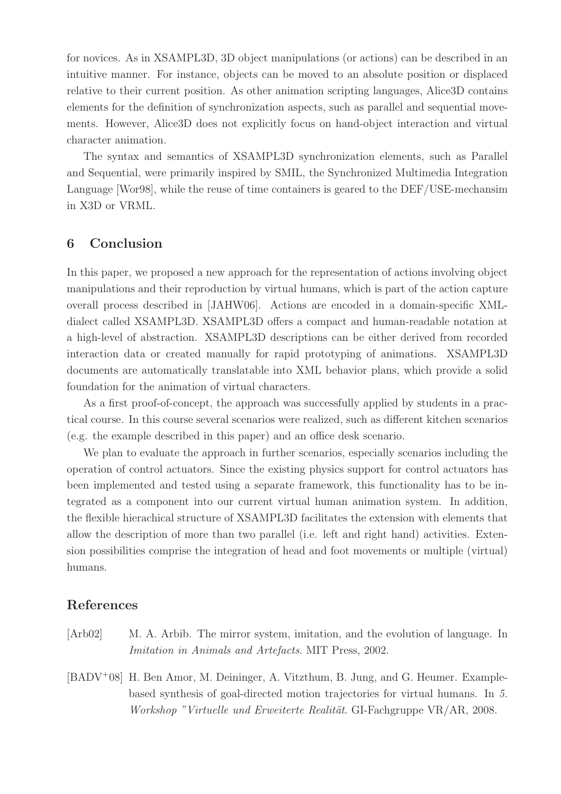for novices. As in XSAMPL3D, 3D object manipulations (or actions) can be described in an intuitive manner. For instance, objects can be moved to an absolute position or displaced relative to their current position. As other animation scripting languages, Alice3D contains elements for the definition of synchronization aspects, such as parallel and sequential movements. However, Alice3D does not explicitly focus on hand-object interaction and virtual character animation.

The syntax and semantics of XSAMPL3D synchronization elements, such as Parallel and Sequential, were primarily inspired by SMIL, the Synchronized Multimedia Integration Language [Wor98], while the reuse of time containers is geared to the DEF/USE-mechansim in X3D or VRML.

## 6 Conclusion

In this paper, we proposed a new approach for the representation of actions involving object manipulations and their reproduction by virtual humans, which is part of the action capture overall process described in [JAHW06]. Actions are encoded in a domain-specific XMLdialect called XSAMPL3D. XSAMPL3D offers a compact and human-readable notation at a high-level of abstraction. XSAMPL3D descriptions can be either derived from recorded interaction data or created manually for rapid prototyping of animations. XSAMPL3D documents are automatically translatable into XML behavior plans, which provide a solid foundation for the animation of virtual characters.

As a first proof-of-concept, the approach was successfully applied by students in a practical course. In this course several scenarios were realized, such as different kitchen scenarios (e.g. the example described in this paper) and an office desk scenario.

We plan to evaluate the approach in further scenarios, especially scenarios including the operation of control actuators. Since the existing physics support for control actuators has been implemented and tested using a separate framework, this functionality has to be integrated as a component into our current virtual human animation system. In addition, the flexible hierachical structure of XSAMPL3D facilitates the extension with elements that allow the description of more than two parallel (i.e. left and right hand) activities. Extension possibilities comprise the integration of head and foot movements or multiple (virtual) humans.

## References

- [Arb02] M. A. Arbib. The mirror system, imitation, and the evolution of language. In Imitation in Animals and Artefacts. MIT Press, 2002.
- [BADV<sup>+</sup>08] H. Ben Amor, M. Deininger, A. Vitzthum, B. Jung, and G. Heumer. Examplebased synthesis of goal-directed motion trajectories for virtual humans. In 5. Workshop "Virtuelle und Erweiterte Realität. GI-Fachgruppe VR/AR, 2008.